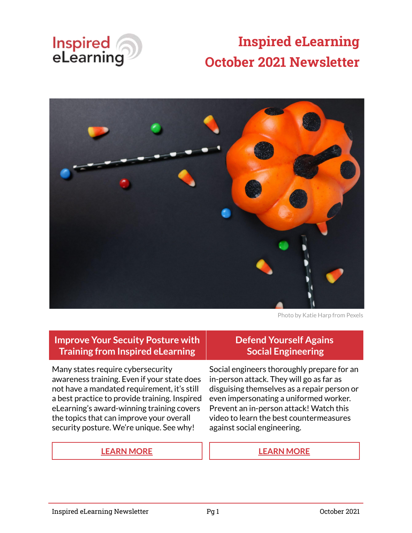

# **Inspired eLearning October 2021 Newsletter**



Photo by Katie Harp from Pexels

#### **Improve Your Secuity Posture with Training from Inspired eLearning**

Many states require cybersecurity awareness training. Even if your state does not have a mandated requirement, it's still a best practice to provide training. Inspired eLearning's award-winning training covers the topics that can improve your overall security posture. We're unique. See why!

#### **[LEARN MORE](https://inspiredelearning.com/security-awareness/#inspired-elearning) [LEARN MORE](https://inspiredelearning.com/resource/primary-countermeasures-social-engineering/)**

#### **Defend Yourself Agains Social Engineering**

Social engineers thoroughly prepare for an in-person attack. They will go as far as disguising themselves as a repair person or even impersonating a uniformed worker. Prevent an in-person attack! Watch this video to learn the best countermeasures against social engineering.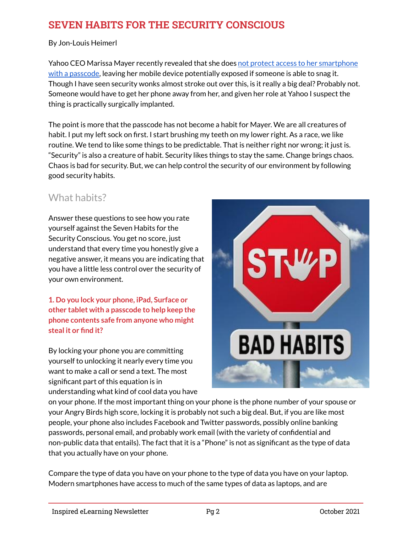## **SEVEN HABITS FOR THE SECURITY CONSCIOUS**

By Jon-Louis Heimerl

Yahoo CEO Marissa Mayer recently revealed that she does [not protect access to her smartphone](https://www.securityweek.com/yahoo-ceo-marissa-mayer-too-busy-lock-her-smartphone) [with a passcode,](https://www.securityweek.com/yahoo-ceo-marissa-mayer-too-busy-lock-her-smartphone) leaving her mobile device potentially exposed if someone is able to snag it. Though I have seen security wonks almost stroke out over this, is it really a big deal? Probably not. Someone would have to get her phone away from her, and given her role at Yahoo I suspect the thing is practically surgically implanted.

The point is more that the passcode has not become a habit for Mayer. We are all creatures of habit. I put my left sock on first. I start brushing my teeth on my lower right. As a race, we like routine. We tend to like some things to be predictable. That is neither right nor wrong; it just is. "Security" is also a creature of habit. Security likes things to stay the same. Change brings chaos. Chaos is bad for security. But, we can help control the security of our environment by following good security habits.

## What habits?

Answer these questions to see how you rate yourself against the Seven Habits for the Security Conscious. You get no score, just understand that every time you honestly give a negative answer, it means you are indicating that you have a little less control over the security of your own environment.

**1. Do you lock your phone, iPad, Surface or other tablet with a passcode to help keep the phone contents safe from anyone who might steal it or find it?**

By locking your phone you are committing yourself to unlocking it nearly every time you want to make a call or send a text. The most significant part of this equation is in understanding what kind of cool data you have



on your phone. If the most important thing on your phone is the phone number of your spouse or your Angry Birds high score, locking it is probably not such a big deal. But, if you are like most people, your phone also includes Facebook and Twitter passwords, possibly online banking passwords, personal email, and probably work email (with the variety of confidential and non-public data that entails). The fact that it is a "Phone" is not as significant as the type of data that you actually have on your phone.

Compare the type of data you have on your phone to the type of data you have on your laptop. Modern smartphones have access to much of the same types of data as laptops, and are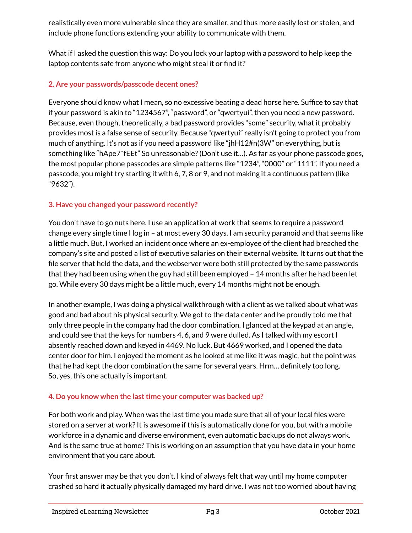realistically even more vulnerable since they are smaller, and thus more easily lost or stolen, and include phone functions extending your ability to communicate with them.

What if I asked the question this way: Do you lock your laptop with a password to help keep the laptop contents safe from anyone who might steal it or find it?

#### **2. Are your passwords/passcode decent ones?**

Everyone should know what I mean, so no excessive beating a dead horse here. Suffice to say that if your password is akin to "1234567", "password", or "qwertyui", then you need a new password. Because, even though, theoretically, a bad password provides "some" security, what it probably provides most is a false sense of security. Because "qwertyui" really isn't going to protect you from much of anything. It's not as if you need a password like "jhH12#n(3W" on everything, but is something like "hApe7\*fEEt" So unreasonable? (Don't use it…). As far as your phone passcode goes, the most popular phone passcodes are simple patterns like "1234", "0000" or "1111". If you need a passcode, you might try starting it with 6, 7, 8 or 9, and not making it a continuous pattern (like "9632").

#### **3. Have you changed your password recently?**

You don't have to go nuts here. I use an application at work that seems to require a password change every single time I log in – at most every 30 days. I am security paranoid and that seems like a little much. But, I worked an incident once where an ex-employee of the client had breached the company's site and posted a list of executive salaries on their external website. It turns out that the file server that held the data, and the webserver were both still protected by the same passwords that they had been using when the guy had still been employed – 14 months after he had been let go. While every 30 days might be a little much, every 14 months might not be enough.

In another example, I was doing a physical walkthrough with a client as we talked about what was good and bad about his physical security. We got to the data center and he proudly told me that only three people in the company had the door combination. I glanced at the keypad at an angle, and could see that the keys for numbers 4, 6, and 9 were dulled. As I talked with my escort I absently reached down and keyed in 4469. No luck. But 4669 worked, and I opened the data center door for him. I enjoyed the moment as he looked at me like it was magic, but the point was that he had kept the door combination the same for several years. Hrm… definitely too long. So, yes, this one actually is important.

#### **4. Do you know when the last time your computer was backed up?**

For both work and play. When was the last time you made sure that all of your local files were stored on a server at work? It is awesome if this is automatically done for you, but with a mobile workforce in a dynamic and diverse environment, even automatic backups do not always work. And is the same true at home? This is working on an assumption that you have data in your home environment that you care about.

Your first answer may be that you don't. I kind of always felt that way until my home computer crashed so hard it actually physically damaged my hard drive. I was not too worried about having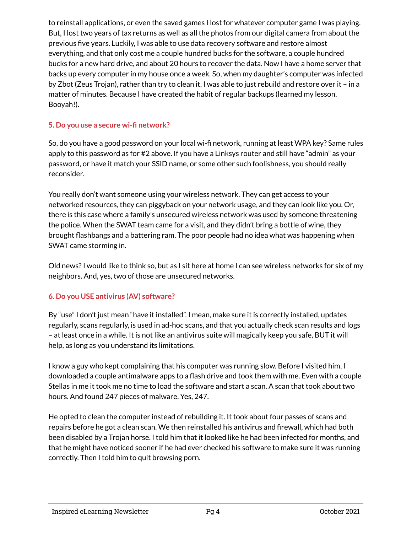to reinstall applications, or even the saved games I lost for whatever computer game I was playing. But, I lost two years of tax returns as well as all the photos from our digital camera from about the previous five years. Luckily, I was able to use data recovery software and restore almost everything, and that only cost me a couple hundred bucks for the software, a couple hundred bucks for a new hard drive, and about 20 hours to recover the data. Now I have a home server that backs up every computer in my house once a week. So, when my daughter's computer was infected by Zbot (Zeus Trojan), rather than try to clean it, I was able to just rebuild and restore over it – in a matter of minutes. Because I have created the habit of regular backups (learned my lesson. Booyah!).

#### **5. Do you use a secure wi-fi network?**

So, do you have a good password on your local wi-fi network, running at least WPA key? Same rules apply to this password as for #2 above. If you have a Linksys router and still have "admin" as your password, or have it match your SSID name, or some other such foolishness, you should really reconsider.

You really don't want someone using your wireless network. They can get access to your networked resources, they can piggyback on your network usage, and they can look like you. Or, there is this case where a family's unsecured wireless network was used by someone threatening the police. When the SWAT team came for a visit, and they didn't bring a bottle of wine, they brought flashbangs and a battering ram. The poor people had no idea what was happening when SWAT came storming in.

Old news? I would like to think so, but as I sit here at home I can see wireless networks for six of my neighbors. And, yes, two of those are unsecured networks.

#### **6. Do you USE antivirus (AV) software?**

By "use" I don't just mean "have it installed". I mean, make sure it is correctly installed, updates regularly, scans regularly, is used in ad-hoc scans, and that you actually check scan results and logs – at least once in a while. It is not like an antivirus suite will magically keep you safe, BUT it will help, as long as you understand its limitations.

I know a guy who kept complaining that his computer was running slow. Before I visited him, I downloaded a couple antimalware apps to a flash drive and took them with me. Even with a couple Stellas in me it took me no time to load the software and start a scan. A scan that took about two hours. And found 247 pieces of malware. Yes, 247.

He opted to clean the computer instead of rebuilding it. It took about four passes of scans and repairs before he got a clean scan. We then reinstalled his antivirus and firewall, which had both been disabled by a Trojan horse. I told him that it looked like he had been infected for months, and that he might have noticed sooner if he had ever checked his software to make sure it was running correctly. Then I told him to quit browsing porn.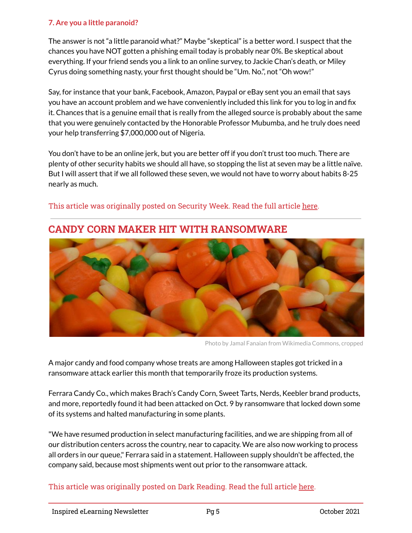#### **7. Are you a little paranoid?**

The answer is not "a little paranoid what?" Maybe "skeptical" is a better word. I suspect that the chances you have NOT gotten a phishing email today is probably near 0%. Be skeptical about everything. If your friend sends you a link to an online survey, to Jackie Chan's death, or Miley Cyrus doing something nasty, your first thought should be "Um. No.", not "Oh wow!"

Say, for instance that your bank, Facebook, Amazon, Paypal or eBay sent you an email that says you have an account problem and we have conveniently included this link for you to log in and fix it. Chances that is a genuine email that is really from the alleged source is probably about the same that you were genuinely contacted by the Honorable Professor Mubumba, and he truly does need your help transferring \$7,000,000 out of Nigeria.

You don't have to be an online jerk, but you are better off if you don't trust too much. There are plenty of other security habits we should all have, so stopping the list at seven may be a little naïve. But I will assert that if we all followed these seven, we would not have to worry about habits 8-25 nearly as much.



#### This article was originally posted on Security Week. Read the full article [here.](https://www.securityweek.com/seven-habits-security-conscious)

**CANDY CORN MAKER HIT WITH RANSOMWARE**

Photo by Jamal Fanaian from Wikimedia Commons, cropped

A major candy and food company whose treats are among Halloween staples got tricked in a ransomware attack earlier this month that temporarily froze its production systems.

Ferrara Candy Co., which makes Brach's Candy Corn, Sweet Tarts, Nerds, Keebler brand products, and more, reportedly found it had been attacked on Oct. 9 by ransomware that locked down some of its systems and halted manufacturing in some plants.

"We have resumed production in select manufacturing facilities, and we are shipping from all of our distribution centers across the country, near to capacity. We are also now working to process all orders in our queue," Ferrara said in a statement. Halloween supply shouldn't be affected, the company said, because most shipments went out prior to the ransomware attack.

#### This article was originally posted on Dark Reading. Read the full article [here.](https://www.darkreading.com/attacks-breaches/candy-corn-maker-hit-with-ransomware)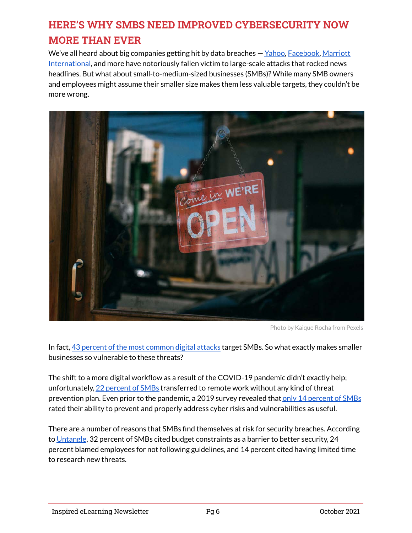## **HERE'S WHY SMBS NEED IMPROVED CYBERSECURITY NOW MORE THAN EVER**

We've all heard about big companies getting hit by data breaches — [Yahoo,](https://www.wired.com/2016/12/yahoo-hack-billion-users/) [Facebook,](https://www.businessinsider.com/stolen-data-of-533-million-facebook-users-leaked-online-2021-4) [Marriott](https://www.cnbc.com/2020/03/31/what-to-do-if-you-were-affected-by-the-latest-marriott-data-breach.html) [International](https://www.cnbc.com/2020/03/31/what-to-do-if-you-were-affected-by-the-latest-marriott-data-breach.html), and more have notoriously fallen victim to large-scale attacks that rocked news headlines. But what about small-to-medium-sized businesses (SMBs)? While many SMB owners and employees might assume their smaller size makes them less valuable targets, they couldn't be more wrong.



Photo by Kaique Rocha from Pexels

In fact, [43 percent of the most common digital attacks](https://securityintelligence.com/articles/state-small-business-cybersecurity-2021/) target SMBs. So what exactly makes smaller businesses so vulnerable to these threats?

The shift to a more digital workflow as a result of the COVID-19 pandemic didn't exactly help; unfortunately, [22 percent of SMBs](https://www.rapidfiretools.com/blog/2021/07/20/small-businesses-are-at-big-risk-for-cyberattacks/) transferred to remote work without any kind of threat prevention plan. Even prior to the pandemic, a 2019 survey revealed that [only 14 percent of SMBs](https://staysafeonline.org/blog/the-impact-of-data-breaches/) rated their ability to prevent and properly address cyber risks and vulnerabilities as useful.

There are a number of reasons that SMBs find themselves at risk for security breaches. According to [Untangle](https://www.untangle.com/inside-untangle/top-barriers-to-it-security-for-smbs/), 32 percent of SMBs cited budget constraints as a barrier to better security, 24 percent blamed employees for not following guidelines, and 14 percent cited having limited time to research new threats.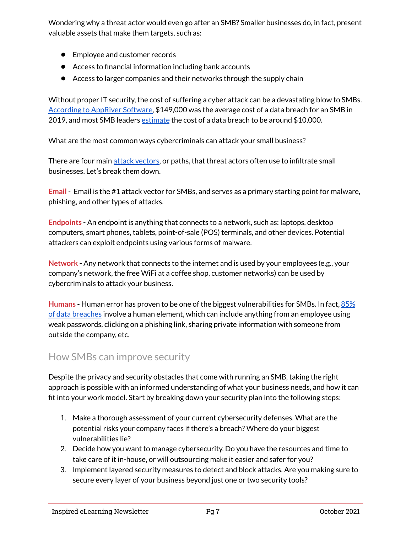Wondering why a threat actor would even go after an SMB? Smaller businesses do, in fact, present valuable assets that make them targets, such as:

- Employee and customer records
- Access to financial information including bank accounts
- Access to larger companies and their networks through the supply chain

Without proper IT security, the cost of suffering a cyber attack can be a devastating blow to SMBs. [According to AppRiver Software,](https://www.techrepublic.com/article/small-businesses-underestimate-financial-damage-of-cyberattacks/) \$149,000 was the average cost of a data breach for an SMB in 2019, and most SMB leaders [estimate](https://staysafeonline.org/blog/the-impact-of-data-breaches/) the cost of a data breach to be around  $$10,000$ .

What are the most common ways cybercriminals can attack your small business?

There are four main [attack vectors,](https://www.vipre.com/blog/be-cybersmart-about-attack-vectors/) or paths, that threat actors often use to infiltrate small businesses. Let's break them down.

**Email** - Email is the #1 attack vector for SMBs, and serves as a primary starting point for malware, phishing, and other types of attacks.

**Endpoints -** An endpoint is anything that connects to a network, such as: laptops, desktop computers, smart phones, tablets, point-of-sale (POS) terminals, and other devices. Potential attackers can exploit endpoints using various forms of malware.

**Network -** Any network that connects to the internet and is used by your employees (e.g., your company's network, the free WiFi at a coffee shop, customer networks) can be used by cybercriminals to attack your business.

**Humans -** Human error has proven to be one of the biggest vulnerabilities for SMBs. In fact, [85%](https://www.verizon.com/business/resources/reports/dbir/) [of data breaches](https://www.verizon.com/business/resources/reports/dbir/) involve a human element, which can include anything from an employee using weak passwords, clicking on a phishing link, sharing private information with someone from outside the company, etc.

### How SMBs can improve security

Despite the privacy and security obstacles that come with running an SMB, taking the right approach is possible with an informed understanding of what your business needs, and how it can fit into your work model. Start by breaking down your security plan into the following steps:

- 1. Make a thorough assessment of your current cybersecurity defenses. What are the potential risks your company faces if there's a breach? Where do your biggest vulnerabilities lie?
- 2. Decide how you want to manage cybersecurity. Do you have the resources and time to take care of it in-house, or will outsourcing make it easier and safer for you?
- 3. Implement layered security measures to detect and block attacks. Are you making sure to secure every layer of your business beyond just one or two security tools?